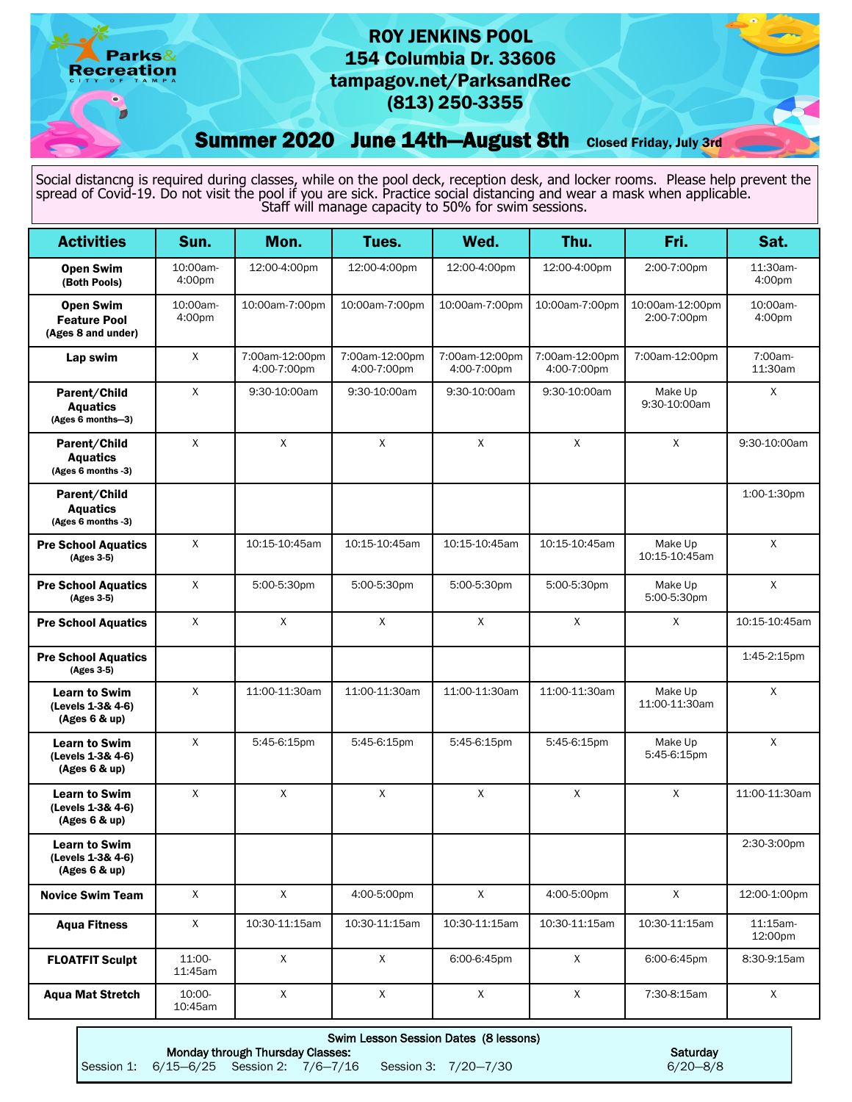## ROY JENKINS POOL 154 Columbia Dr. 33606 tampagov.net/ParksandRec (813) 250-3355

Summer 2020 June 14th-August 8th Closed Friday, July 3rd

Parks& **Recreation** 

Social distancng is required during classes, while on the pool deck, reception desk, and locker rooms. Please help prevent the spread of Covid-19. Do not visit the pool if you are sick. Practice social distancing and wear a mask when applicable. Staff will manage capacity to 50% for swim sessions.

| <b>Activities</b>                                             | Sun.               | Mon.                          | Tues.                         | Wed.                          | Thu.                          | Fri.                           | Sat.                |
|---------------------------------------------------------------|--------------------|-------------------------------|-------------------------------|-------------------------------|-------------------------------|--------------------------------|---------------------|
| <b>Open Swim</b><br>(Both Pools)                              | 10:00am-<br>4:00pm | 12:00-4:00pm                  | 12:00-4:00pm                  | 12:00-4:00pm                  | 12:00-4:00pm                  | 2:00-7:00pm                    | 11:30am-<br>4:00pm  |
| <b>Open Swim</b><br><b>Feature Pool</b><br>(Ages 8 and under) | 10:00am-<br>4:00pm | 10:00am-7:00pm                | 10:00am-7:00pm                | 10:00am-7:00pm                | 10:00am-7:00pm                | 10:00am-12:00pm<br>2:00-7:00pm | 10:00am-<br>4:00pm  |
| Lap swim                                                      | X                  | 7:00am-12:00pm<br>4:00-7:00pm | 7:00am-12:00pm<br>4:00-7:00pm | 7:00am-12:00pm<br>4:00-7:00pm | 7:00am-12:00pm<br>4:00-7:00pm | 7:00am-12:00pm                 | 7:00am-<br>11:30am  |
| Parent/Child<br><b>Aquatics</b><br>(Ages 6 months-3)          | $\mathsf{X}$       | 9:30-10:00am                  | 9:30-10:00am                  | 9:30-10:00am                  | 9:30-10:00am                  | Make Up<br>9:30-10:00am        | X                   |
| Parent/Child<br><b>Aquatics</b><br>(Ages 6 months -3)         | $\mathsf{X}$       | $\mathsf{X}$                  | $\mathsf{X}$                  | $\mathsf{X}$                  | $\mathsf{X}$                  | $\mathsf{X}$                   | 9:30-10:00am        |
| Parent/Child<br><b>Aquatics</b><br>(Ages 6 months -3)         |                    |                               |                               |                               |                               |                                | 1:00-1:30pm         |
| <b>Pre School Aquatics</b><br>(Ages 3-5)                      | $\mathsf{X}$       | 10:15-10:45am                 | 10:15-10:45am                 | 10:15-10:45am                 | 10:15-10:45am                 | Make Up<br>10:15-10:45am       | $\mathsf{X}$        |
| <b>Pre School Aquatics</b><br>(Ages 3-5)                      | $\mathsf{X}$       | 5:00-5:30pm                   | 5:00-5:30pm                   | 5:00-5:30pm                   | 5:00-5:30pm                   | Make Up<br>5:00-5:30pm         | $\mathsf X$         |
| <b>Pre School Aquatics</b>                                    | X                  | X                             | $\mathsf{X}$                  | $\mathsf{X}$                  | X                             | X                              | 10:15-10:45am       |
| <b>Pre School Aquatics</b><br>(Ages 3-5)                      |                    |                               |                               |                               |                               |                                | 1:45-2:15pm         |
| <b>Learn to Swim</b><br>(Levels 1-3& 4-6)<br>(Ages 6 & up)    | X                  | 11:00-11:30am                 | 11:00-11:30am                 | 11:00-11:30am                 | 11:00-11:30am                 | Make Up<br>11:00-11:30am       | X                   |
| <b>Learn to Swim</b><br>(Levels 1-3& 4-6)<br>(Ages 6 & up)    | X                  | 5:45-6:15pm                   | 5:45-6:15pm                   | 5:45-6:15pm                   | 5:45-6:15pm                   | Make Up<br>5:45-6:15pm         | X                   |
| <b>Learn to Swim</b><br>(Levels 1-3& 4-6)<br>(Ages 6 & up)    | $\mathsf{X}$       | $\mathsf{X}$                  | $\mathsf{X}$                  | X                             | $\mathsf{X}$                  | $\mathsf{X}$                   | 11:00-11:30am       |
| <b>Learn to Swim</b><br>(Levels 1-3& 4-6)<br>(Ages 6 & up)    |                    |                               |                               |                               |                               |                                | 2:30-3:00pm         |
| <b>Novice Swim Team</b>                                       | X                  | $\mathsf{X}$                  | 4:00-5:00pm                   | $\mathsf{X}^-$                | 4:00-5:00pm                   | $\mathsf{X}$                   | 12:00-1:00pm        |
| <b>Aqua Fitness</b>                                           | X                  | 10:30-11:15am                 | 10:30-11:15am                 | 10:30-11:15am                 | 10:30-11:15am                 | 10:30-11:15am                  | 11:15am-<br>12:00pm |
| <b>FLOATFIT Sculpt</b>                                        | 11:00-<br>11:45am  | X                             | X                             | 6:00-6:45pm                   | X                             | 6:00-6:45pm                    | 8:30-9:15am         |
| <b>Aqua Mat Stretch</b>                                       | 10:00-<br>10:45am  | $\mathsf X$                   | $\mathsf X$                   | $\mathsf X$                   | $\mathsf X$                   | 7:30-8:15am                    | X                   |